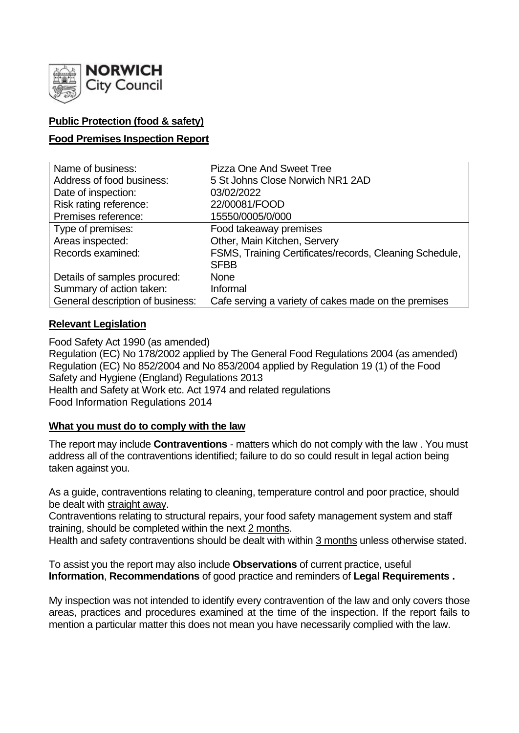

# **Public Protection (food & safety)**

# **Food Premises Inspection Report**

| Name of business:                | <b>Pizza One And Sweet Tree</b>                         |
|----------------------------------|---------------------------------------------------------|
| Address of food business:        | 5 St Johns Close Norwich NR1 2AD                        |
| Date of inspection:              | 03/02/2022                                              |
| Risk rating reference:           | 22/00081/FOOD                                           |
| Premises reference:              | 15550/0005/0/000                                        |
| Type of premises:                | Food takeaway premises                                  |
| Areas inspected:                 | Other, Main Kitchen, Servery                            |
| Records examined:                | FSMS, Training Certificates/records, Cleaning Schedule, |
|                                  | <b>SFBB</b>                                             |
| Details of samples procured:     | <b>None</b>                                             |
| Summary of action taken:         | Informal                                                |
| General description of business: | Cafe serving a variety of cakes made on the premises    |

# **Relevant Legislation**

Food Safety Act 1990 (as amended) Regulation (EC) No 178/2002 applied by The General Food Regulations 2004 (as amended) Regulation (EC) No 852/2004 and No 853/2004 applied by Regulation 19 (1) of the Food Safety and Hygiene (England) Regulations 2013 Health and Safety at Work etc. Act 1974 and related regulations Food Information Regulations 2014

### **What you must do to comply with the law**

The report may include **Contraventions** - matters which do not comply with the law . You must address all of the contraventions identified; failure to do so could result in legal action being taken against you.

As a guide, contraventions relating to cleaning, temperature control and poor practice, should be dealt with straight away.

Contraventions relating to structural repairs, your food safety management system and staff training, should be completed within the next 2 months.

Health and safety contraventions should be dealt with within 3 months unless otherwise stated.

To assist you the report may also include **Observations** of current practice, useful **Information**, **Recommendations** of good practice and reminders of **Legal Requirements .**

My inspection was not intended to identify every contravention of the law and only covers those areas, practices and procedures examined at the time of the inspection. If the report fails to mention a particular matter this does not mean you have necessarily complied with the law.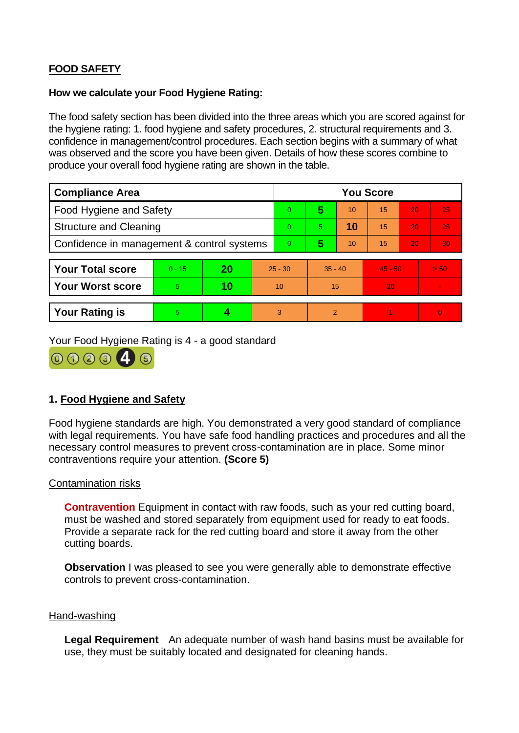# **FOOD SAFETY**

#### **How we calculate your Food Hygiene Rating:**

The food safety section has been divided into the three areas which you are scored against for the hygiene rating: 1. food hygiene and safety procedures, 2. structural requirements and 3. confidence in management/control procedures. Each section begins with a summary of what was observed and the score you have been given. Details of how these scores combine to produce your overall food hygiene rating are shown in the table.

| <b>Compliance Area</b>                     |          |    |                | <b>You Score</b> |           |    |           |    |          |  |  |
|--------------------------------------------|----------|----|----------------|------------------|-----------|----|-----------|----|----------|--|--|
| Food Hygiene and Safety                    |          |    |                | $\overline{0}$   | 5         | 10 | 15        | 20 | 25       |  |  |
| <b>Structure and Cleaning</b>              |          |    |                | $\overline{0}$   | 5         | 10 | 15        | 20 | 25       |  |  |
| Confidence in management & control systems |          |    | $\overline{0}$ | 5                | 10        | 15 | 20        | 30 |          |  |  |
|                                            |          |    |                |                  |           |    |           |    |          |  |  |
| <b>Your Total score</b>                    | $0 - 15$ | 20 | $25 - 30$      |                  | $35 - 40$ |    | $45 - 50$ |    | > 50     |  |  |
| <b>Your Worst score</b>                    | 5        | 10 | 10             |                  | 15        |    | 20        |    |          |  |  |
|                                            |          |    |                |                  |           |    |           |    |          |  |  |
| <b>Your Rating is</b>                      | 5        | 4  |                | 3                | 2         |    |           |    | $\Omega$ |  |  |

Your Food Hygiene Rating is 4 - a good standard



# **1. Food Hygiene and Safety**

Food hygiene standards are high. You demonstrated a very good standard of compliance with legal requirements. You have safe food handling practices and procedures and all the necessary control measures to prevent cross-contamination are in place. Some minor contraventions require your attention. **(Score 5)**

### Contamination risks

**Contravention** Equipment in contact with raw foods, such as your red cutting board, must be washed and stored separately from equipment used for ready to eat foods. Provide a separate rack for the red cutting board and store it away from the other cutting boards.

**Observation** I was pleased to see you were generally able to demonstrate effective controls to prevent cross-contamination.

#### Hand-washing

**Legal Requirement** An adequate number of wash hand basins must be available for use, they must be suitably located and designated for cleaning hands.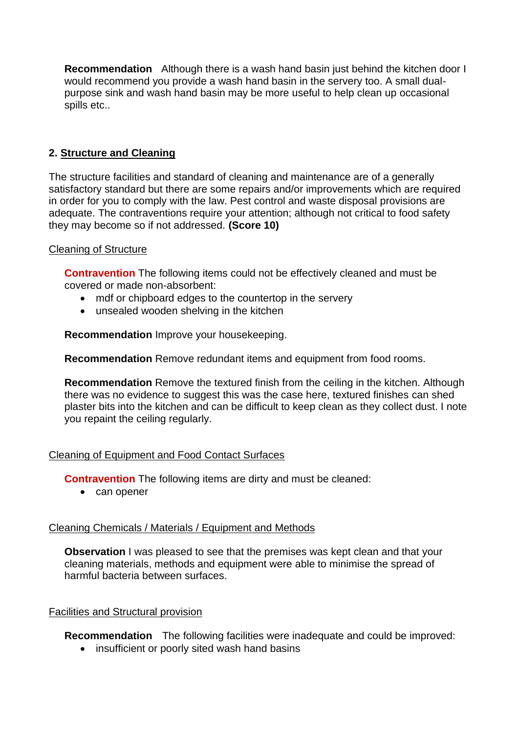**Recommendation** Although there is a wash hand basin just behind the kitchen door I would recommend you provide a wash hand basin in the servery too. A small dualpurpose sink and wash hand basin may be more useful to help clean up occasional spills etc..

# **2. Structure and Cleaning**

The structure facilities and standard of cleaning and maintenance are of a generally satisfactory standard but there are some repairs and/or improvements which are required in order for you to comply with the law. Pest control and waste disposal provisions are adequate. The contraventions require your attention; although not critical to food safety they may become so if not addressed. **(Score 10)**

### Cleaning of Structure

**Contravention** The following items could not be effectively cleaned and must be covered or made non-absorbent:

- mdf or chipboard edges to the countertop in the servery
- unsealed wooden shelving in the kitchen

**Recommendation** Improve your housekeeping.

**Recommendation** Remove redundant items and equipment from food rooms.

**Recommendation** Remove the textured finish from the ceiling in the kitchen. Although there was no evidence to suggest this was the case here, textured finishes can shed plaster bits into the kitchen and can be difficult to keep clean as they collect dust. I note you repaint the ceiling regularly.

### Cleaning of Equipment and Food Contact Surfaces

**Contravention** The following items are dirty and must be cleaned:

• can opener

### Cleaning Chemicals / Materials / Equipment and Methods

**Observation** I was pleased to see that the premises was kept clean and that your cleaning materials, methods and equipment were able to minimise the spread of harmful bacteria between surfaces.

## Facilities and Structural provision

**Recommendation** The following facilities were inadequate and could be improved:

• insufficient or poorly sited wash hand basins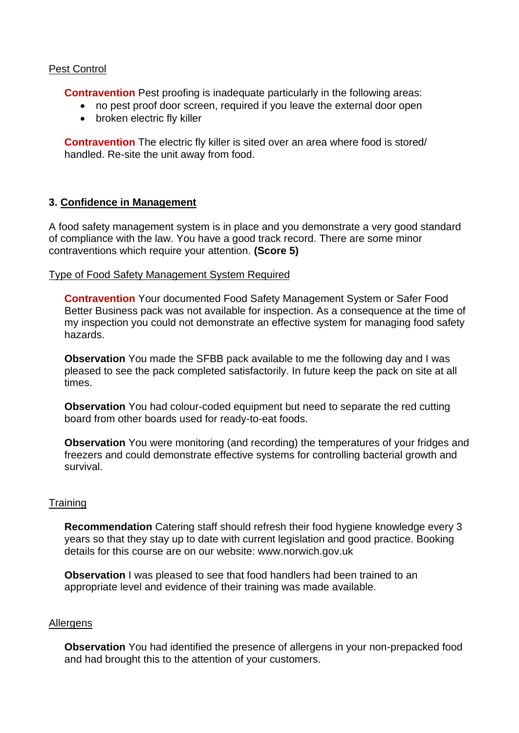### Pest Control

**Contravention** Pest proofing is inadequate particularly in the following areas:

- no pest proof door screen, required if you leave the external door open
- broken electric fly killer

**Contravention** The electric fly killer is sited over an area where food is stored/ handled. Re-site the unit away from food.

#### **3. Confidence in Management**

A food safety management system is in place and you demonstrate a very good standard of compliance with the law. You have a good track record. There are some minor contraventions which require your attention. **(Score 5)**

#### Type of Food Safety Management System Required

**Contravention** Your documented Food Safety Management System or Safer Food Better Business pack was not available for inspection. As a consequence at the time of my inspection you could not demonstrate an effective system for managing food safety hazards.

**Observation** You made the SFBB pack available to me the following day and I was pleased to see the pack completed satisfactorily. In future keep the pack on site at all times.

**Observation** You had colour-coded equipment but need to separate the red cutting board from other boards used for ready-to-eat foods.

**Observation** You were monitoring (and recording) the temperatures of your fridges and freezers and could demonstrate effective systems for controlling bacterial growth and survival.

#### **Training**

**Recommendation** Catering staff should refresh their food hygiene knowledge every 3 years so that they stay up to date with current legislation and good practice. Booking details for this course are on our website: www.norwich.gov.uk

**Observation** I was pleased to see that food handlers had been trained to an appropriate level and evidence of their training was made available.

#### Allergens

**Observation** You had identified the presence of allergens in your non-prepacked food and had brought this to the attention of your customers.